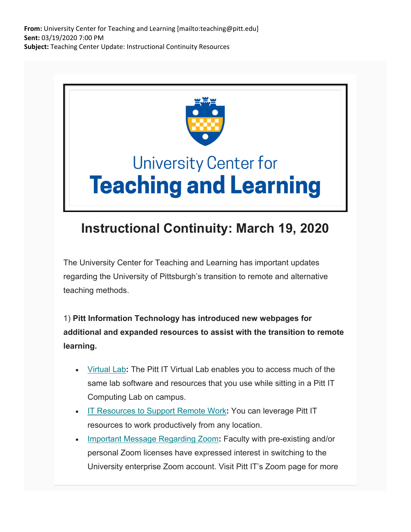**From:** University Center for Teaching and Learning [mailto:teaching@pitt.edu] **Sent:** 03/19/2020 7:00 PM **Subject:** Teaching Center Update: Instructional Continuity Resources



## **Instructional Continuity: March 19, 2020**

The University Center for Teaching and Learning has important updates regarding the University of Pittsburgh's transition to remote and alternative teaching methods.

1) **Pitt Information Technology has introduced new webpages for additional and expanded resources to assist with the transition to remote learning.**

- Virtual Lab**:** The Pitt IT Virtual Lab enables you to access much of the same lab software and resources that you use while sitting in a Pitt IT Computing Lab on campus.
- IT Resources to Support Remote Work**:** You can leverage Pitt IT resources to work productively from any location.
- Important Message Regarding Zoom**:** Faculty with pre-existing and/or personal Zoom licenses have expressed interest in switching to the University enterprise Zoom account. Visit Pitt IT's Zoom page for more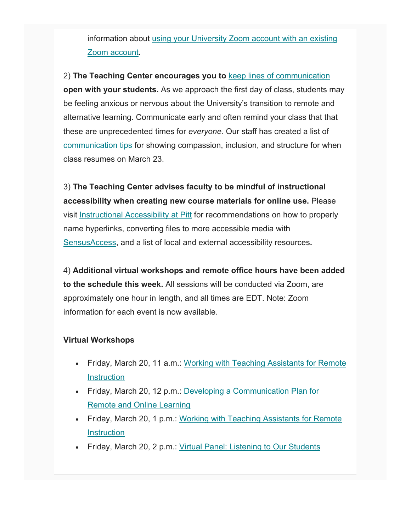information about using your University Zoom account with an existing Zoom account**.**

2) **The Teaching Center encourages you to** keep lines of communication **open with your students.** As we approach the first day of class, students may be feeling anxious or nervous about the University's transition to remote and alternative learning. Communicate early and often remind your class that that these are unprecedented times for *everyone.* Our staff has created a list of communication tips for showing compassion, inclusion, and structure for when class resumes on March 23.

3) **The Teaching Center advises faculty to be mindful of instructional accessibility when creating new course materials for online use.** Please visit Instructional Accessibility at Pitt for recommendations on how to properly name hyperlinks, converting files to more accessible media with SensusAccess, and a list of local and external accessibility resources**.**

4) **Additional virtual workshops and remote office hours have been added to the schedule this week.** All sessions will be conducted via Zoom, are approximately one hour in length, and all times are EDT. Note: Zoom information for each event is now available.

## **Virtual Workshops**

- Friday, March 20, 11 a.m.: Working with Teaching Assistants for Remote **Instruction**
- Friday, March 20, 12 p.m.: Developing a Communication Plan for Remote and Online Learning
- Friday, March 20, 1 p.m.: Working with Teaching Assistants for Remote **Instruction**
- Friday, March 20, 2 p.m.: Virtual Panel: Listening to Our Students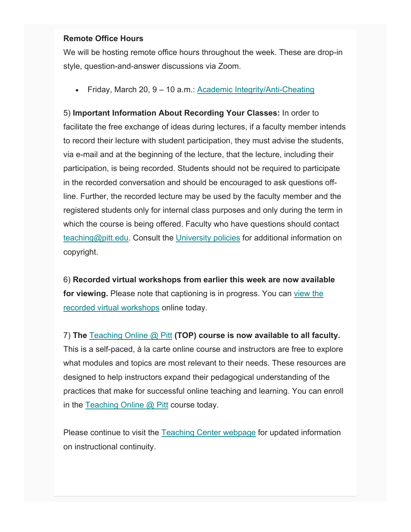## **Remote Office Hours**

We will be hosting remote office hours throughout the week. These are drop-in style, question-and-answer discussions via Zoom.

Friday, March 20, 9 – 10 a.m.: Academic Integrity/Anti-Cheating

5) **Important Information About Recording Your Classes:** In order to facilitate the free exchange of ideas during lectures, if a faculty member intends to record their lecture with student participation, they must advise the students, via e-mail and at the beginning of the lecture, that the lecture, including their participation, is being recorded. Students should not be required to participate in the recorded conversation and should be encouraged to ask questions offline. Further, the recorded lecture may be used by the faculty member and the registered students only for internal class purposes and only during the term in which the course is being offered. Faculty who have questions should contact teaching@pitt.edu. Consult the University policies for additional information on copyright.

6) **Recorded virtual workshops from earlier this week are now available for viewing.** Please note that captioning is in progress. You can view the recorded virtual workshops online today.

7) **The** Teaching Online @ Pitt **(TOP) course is now available to all faculty.** This is a self-paced, à la carte online course and instructors are free to explore what modules and topics are most relevant to their needs. These resources are designed to help instructors expand their pedagogical understanding of the practices that make for successful online teaching and learning. You can enroll in the Teaching Online  $\omega$  Pitt course today.

Please continue to visit the Teaching Center webpage for updated information on instructional continuity.